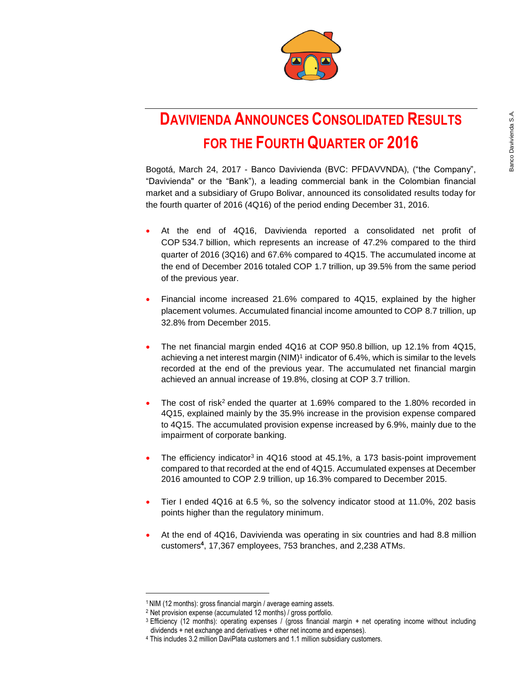

# **DAVIVIENDA ANNOUNCES CONSOLIDATED RESULTS FOR THE FOURTH QUARTER OF 2016**

Bogotá, March 24, 2017 - Banco Davivienda (BVC: PFDAVVNDA), ("the Company", "Davivienda" or the "Bank"), a leading commercial bank in the Colombian financial market and a subsidiary of Grupo Bolivar, announced its consolidated results today for the fourth quarter of 2016 (4Q16) of the period ending December 31, 2016.

- At the end of 4Q16, Davivienda reported a consolidated net profit of COP 534.7 billion, which represents an increase of 47.2% compared to the third quarter of 2016 (3Q16) and 67.6% compared to 4Q15. The accumulated income at the end of December 2016 totaled COP 1.7 trillion, up 39.5% from the same period of the previous year.
- Financial income increased 21.6% compared to 4Q15, explained by the higher placement volumes. Accumulated financial income amounted to COP 8.7 trillion, up 32.8% from December 2015.
- The net financial margin ended 4Q16 at COP 950.8 billion, up 12.1% from 4Q15, achieving a net interest margin (NIM)<sup>1</sup> indicator of 6.4%, which is similar to the levels recorded at the end of the previous year. The accumulated net financial margin achieved an annual increase of 19.8%, closing at COP 3.7 trillion.
- The cost of risk<sup>2</sup> ended the quarter at 1.69% compared to the 1.80% recorded in 4Q15, explained mainly by the 35.9% increase in the provision expense compared to 4Q15. The accumulated provision expense increased by 6.9%, mainly due to the impairment of corporate banking.
- The efficiency indicator<sup>3</sup> in  $4Q16$  stood at  $45.1\%$ , a 173 basis-point improvement compared to that recorded at the end of 4Q15. Accumulated expenses at December 2016 amounted to COP 2.9 trillion, up 16.3% compared to December 2015.
- Tier I ended 4Q16 at 6.5 %, so the solvency indicator stood at 11.0%, 202 basis points higher than the regulatory minimum.
- At the end of 4Q16, Davivienda was operating in six countries and had 8.8 million customers**<sup>4</sup>** , 17,367 employees, 753 branches, and 2,238 ATMs.

 $\overline{a}$ 

<sup>1</sup> NIM (12 months): gross financial margin / average earning assets.

<sup>2</sup> Net provision expense (accumulated 12 months) / gross portfolio.

<sup>3</sup> Efficiency (12 months): operating expenses / (gross financial margin + net operating income without including dividends + net exchange and derivatives + other net income and expenses).

<sup>4</sup> This includes 3.2 million DaviPlata customers and 1.1 million subsidiary customers.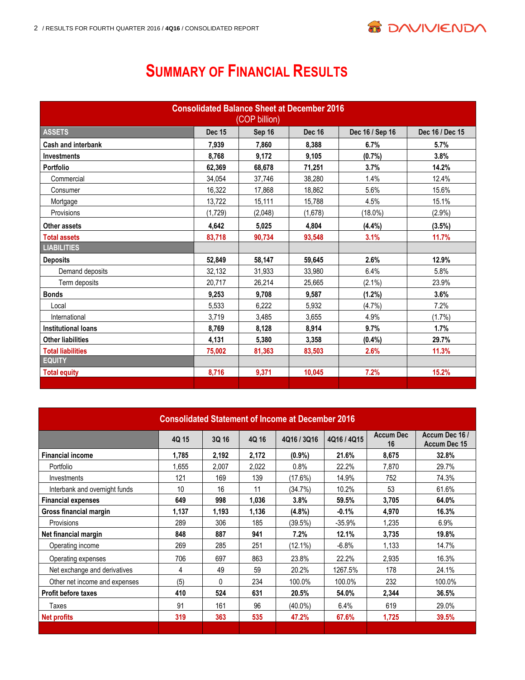

# **SUMMARY OF FINANCIAL RESULTS**

| <b>Consolidated Balance Sheet at December 2016</b><br>(COP billion) |               |         |               |                 |                 |
|---------------------------------------------------------------------|---------------|---------|---------------|-----------------|-----------------|
| <b>ASSETS</b>                                                       | <b>Dec 15</b> | Sep 16  | <b>Dec 16</b> | Dec 16 / Sep 16 | Dec 16 / Dec 15 |
| <b>Cash and interbank</b>                                           | 7,939         | 7.860   | 8.388         | 6.7%            | 5.7%            |
| Investments                                                         | 8,768         | 9,172   | 9,105         | (0.7%)          | 3.8%            |
| <b>Portfolio</b>                                                    | 62,369        | 68,678  | 71,251        | 3.7%            | 14.2%           |
| Commercial                                                          | 34,054        | 37,746  | 38,280        | 1.4%            | 12.4%           |
| Consumer                                                            | 16,322        | 17,868  | 18,862        | 5.6%            | 15.6%           |
| Mortgage                                                            | 13,722        | 15,111  | 15,788        | 4.5%            | 15.1%           |
| Provisions                                                          | (1,729)       | (2,048) | (1,678)       | $(18.0\%)$      | $(2.9\%)$       |
| Other assets                                                        | 4,642         | 5,025   | 4,804         | (4.4%)          | (3.5%)          |
| <b>Total assets</b>                                                 | 83,718        | 90,734  | 93,548        | 3.1%            | 11.7%           |
| <b>LIABILITIES</b>                                                  |               |         |               |                 |                 |
| <b>Deposits</b>                                                     | 52,849        | 58,147  | 59,645        | 2.6%            | 12.9%           |
| Demand deposits                                                     | 32,132        | 31,933  | 33,980        | 6.4%            | 5.8%            |
| Term deposits                                                       | 20,717        | 26,214  | 25,665        | $(2.1\%)$       | 23.9%           |
| <b>Bonds</b>                                                        | 9,253         | 9,708   | 9,587         | $(1.2\%)$       | 3.6%            |
| Local                                                               | 5,533         | 6,222   | 5,932         | (4.7%           | 7.2%            |
| International                                                       | 3,719         | 3,485   | 3.655         | 4.9%            | (1.7%)          |
| <b>Institutional loans</b>                                          | 8,769         | 8,128   | 8,914         | 9.7%            | 1.7%            |
| <b>Other liabilities</b>                                            | 4,131         | 5,380   | 3,358         | $(0.4\%)$       | 29.7%           |
| <b>Total liabilities</b>                                            | 75,002        | 81,363  | 83,503        | 2.6%            | 11.3%           |
| <b>EQUITY</b>                                                       |               |         |               |                 |                 |
| <b>Total equity</b>                                                 | 8,716         | 9,371   | 10,045        | 7.2%            | 15.2%           |
|                                                                     |               |         |               |                 |                 |

| <b>Consolidated Statement of Income at December 2016</b> |       |          |       |           |             |                        |                                |
|----------------------------------------------------------|-------|----------|-------|-----------|-------------|------------------------|--------------------------------|
|                                                          | 4Q 15 | 3Q 16    | 4Q 16 | 4Q16/3Q16 | 4Q16 / 4Q15 | <b>Accum Dec</b><br>16 | Accum Dec 16 /<br>Accum Dec 15 |
| <b>Financial income</b>                                  | 1,785 | 2,192    | 2,172 | $(0.9\%)$ | 21.6%       | 8,675                  | 32.8%                          |
| Portfolio                                                | 1,655 | 2,007    | 2,022 | 0.8%      | 22.2%       | 7,870                  | 29.7%                          |
| Investments                                              | 121   | 169      | 139   | (17.6%)   | 14.9%       | 752                    | 74.3%                          |
| Interbank and overnight funds                            | 10    | 16       | 11    | (34.7%)   | 10.2%       | 53                     | 61.6%                          |
| <b>Financial expenses</b>                                | 649   | 998      | 1,036 | 3.8%      | 59.5%       | 3,705                  | 64.0%                          |
| Gross financial margin                                   | 1,137 | 1,193    | 1,136 | $(4.8\%)$ | $-0.1%$     | 4,970                  | 16.3%                          |
| Provisions                                               | 289   | 306      | 185   | (39.5%)   | $-35.9%$    | 1,235                  | 6.9%                           |
| Net financial margin                                     | 848   | 887      | 941   | 7.2%      | 12.1%       | 3,735                  | 19.8%                          |
| Operating income                                         | 269   | 285      | 251   | (12.1%)   | $-6.8%$     | 1.133                  | 14.7%                          |
| Operating expenses                                       | 706   | 697      | 863   | 23.8%     | 22.2%       | 2,935                  | 16.3%                          |
| Net exchange and derivatives                             | 4     | 49       | 59    | 20.2%     | 1267.5%     | 178                    | 24.1%                          |
| Other net income and expenses                            | (5)   | $\Omega$ | 234   | 100.0%    | 100.0%      | 232                    | 100.0%                         |
| <b>Profit before taxes</b>                               | 410   | 524      | 631   | 20.5%     | 54.0%       | 2,344                  | 36.5%                          |
| Taxes                                                    | 91    | 161      | 96    | (40.0%)   | 6.4%        | 619                    | 29.0%                          |
| <b>Net profits</b>                                       | 319   | 363      | 535   | 47.2%     | 67.6%       | 1,725                  | 39.5%                          |
|                                                          |       |          |       |           |             |                        |                                |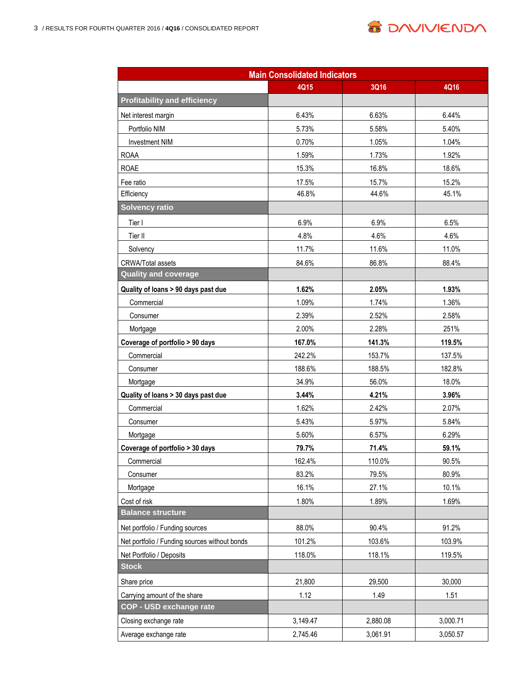

| <b>Main Consolidated Indicators</b>           |          |          |          |  |
|-----------------------------------------------|----------|----------|----------|--|
|                                               | 4Q15     | 3Q16     | 4Q16     |  |
| <b>Profitability and efficiency</b>           |          |          |          |  |
| Net interest margin                           | 6.43%    | 6.63%    | 6.44%    |  |
| Portfolio NIM                                 | 5.73%    | 5.58%    | 5.40%    |  |
| <b>Investment NIM</b>                         | 0.70%    | 1.05%    | 1.04%    |  |
| <b>ROAA</b>                                   | 1.59%    | 1.73%    | 1.92%    |  |
| <b>ROAE</b>                                   | 15.3%    | 16.8%    | 18.6%    |  |
| Fee ratio                                     | 17.5%    | 15.7%    | 15.2%    |  |
| Efficiency                                    | 46.8%    | 44.6%    | 45.1%    |  |
| <b>Solvency ratio</b>                         |          |          |          |  |
| Tier I                                        | 6.9%     | 6.9%     | 6.5%     |  |
| Tier II                                       | 4.8%     | 4.6%     | 4.6%     |  |
| Solvency                                      | 11.7%    | 11.6%    | 11.0%    |  |
| <b>CRWA/Total assets</b>                      | 84.6%    | 86.8%    | 88.4%    |  |
| <b>Quality and coverage</b>                   |          |          |          |  |
| Quality of loans > 90 days past due           | 1.62%    | 2.05%    | 1.93%    |  |
| Commercial                                    | 1.09%    | 1.74%    | 1.36%    |  |
| Consumer                                      | 2.39%    | 2.52%    | 2.58%    |  |
| Mortgage                                      | 2.00%    | 2.28%    | 251%     |  |
| Coverage of portfolio > 90 days               | 167.0%   | 141.3%   | 119.5%   |  |
| Commercial                                    | 242.2%   | 153.7%   | 137.5%   |  |
| Consumer                                      | 188.6%   | 188.5%   | 182.8%   |  |
| Mortgage                                      | 34.9%    | 56.0%    | 18.0%    |  |
| Quality of loans > 30 days past due           | 3.44%    | 4.21%    | 3.96%    |  |
| Commercial                                    | 1.62%    | 2.42%    | 2.07%    |  |
| Consumer                                      | 5.43%    | 5.97%    | 5.84%    |  |
| Mortgage                                      | 5.60%    | 6.57%    | 6.29%    |  |
| Coverage of portfolio > 30 days               | 79.7%    | 71.4%    | 59.1%    |  |
| Commercial                                    | 162.4%   | 110.0%   | 90.5%    |  |
| Consumer                                      | 83.2%    | 79.5%    | 80.9%    |  |
| Mortgage                                      | 16.1%    | 27.1%    | 10.1%    |  |
| Cost of risk                                  | 1.80%    | 1.89%    | 1.69%    |  |
| <b>Balance structure</b>                      |          |          |          |  |
| Net portfolio / Funding sources               | 88.0%    | 90.4%    | 91.2%    |  |
| Net portfolio / Funding sources without bonds | 101.2%   | 103.6%   | 103.9%   |  |
| Net Portfolio / Deposits                      | 118.0%   | 118.1%   | 119.5%   |  |
| <b>Stock</b>                                  |          |          |          |  |
| Share price                                   | 21,800   | 29,500   | 30,000   |  |
| Carrying amount of the share                  | 1.12     | 1.49     | 1.51     |  |
| <b>COP - USD exchange rate</b>                |          |          |          |  |
| Closing exchange rate                         | 3,149.47 | 2,880.08 | 3,000.71 |  |
| Average exchange rate                         | 2,745.46 | 3,061.91 | 3,050.57 |  |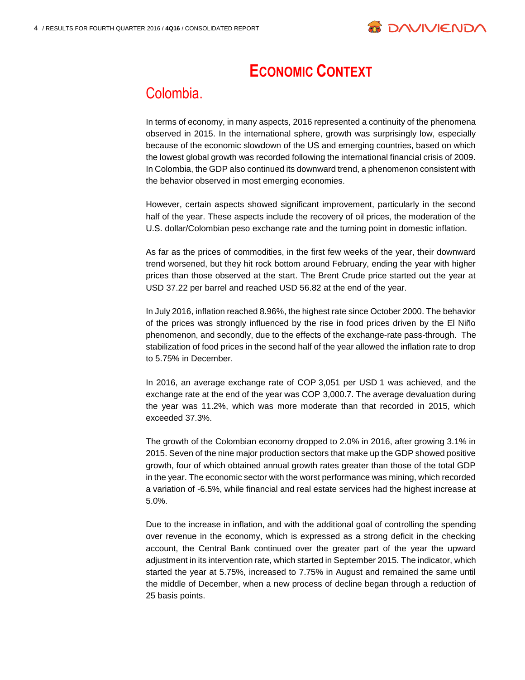

# **ECONOMIC CONTEXT**

### Colombia.

In terms of economy, in many aspects, 2016 represented a continuity of the phenomena observed in 2015. In the international sphere, growth was surprisingly low, especially because of the economic slowdown of the US and emerging countries, based on which the lowest global growth was recorded following the international financial crisis of 2009. In Colombia, the GDP also continued its downward trend, a phenomenon consistent with the behavior observed in most emerging economies.

However, certain aspects showed significant improvement, particularly in the second half of the year. These aspects include the recovery of oil prices, the moderation of the U.S. dollar/Colombian peso exchange rate and the turning point in domestic inflation.

As far as the prices of commodities, in the first few weeks of the year, their downward trend worsened, but they hit rock bottom around February, ending the year with higher prices than those observed at the start. The Brent Crude price started out the year at USD 37.22 per barrel and reached USD 56.82 at the end of the year.

In July 2016, inflation reached 8.96%, the highest rate since October 2000. The behavior of the prices was strongly influenced by the rise in food prices driven by the El Niño phenomenon, and secondly, due to the effects of the exchange-rate pass-through. The stabilization of food prices in the second half of the year allowed the inflation rate to drop to 5.75% in December.

In 2016, an average exchange rate of COP 3,051 per USD 1 was achieved, and the exchange rate at the end of the year was COP 3,000.7. The average devaluation during the year was 11.2%, which was more moderate than that recorded in 2015, which exceeded 37.3%.

The growth of the Colombian economy dropped to 2.0% in 2016, after growing 3.1% in 2015. Seven of the nine major production sectors that make up the GDP showed positive growth, four of which obtained annual growth rates greater than those of the total GDP in the year. The economic sector with the worst performance was mining, which recorded a variation of -6.5%, while financial and real estate services had the highest increase at 5.0%.

Due to the increase in inflation, and with the additional goal of controlling the spending over revenue in the economy, which is expressed as a strong deficit in the checking account, the Central Bank continued over the greater part of the year the upward adjustment in its intervention rate, which started in September 2015. The indicator, which started the year at 5.75%, increased to 7.75% in August and remained the same until the middle of December, when a new process of decline began through a reduction of 25 basis points.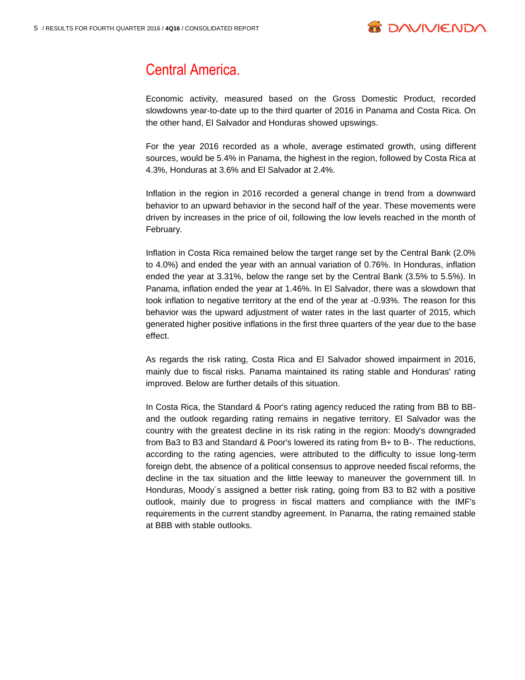

# Central America.

Economic activity, measured based on the Gross Domestic Product, recorded slowdowns year-to-date up to the third quarter of 2016 in Panama and Costa Rica. On the other hand, El Salvador and Honduras showed upswings.

For the year 2016 recorded as a whole, average estimated growth, using different sources, would be 5.4% in Panama, the highest in the region, followed by Costa Rica at 4.3%, Honduras at 3.6% and El Salvador at 2.4%.

Inflation in the region in 2016 recorded a general change in trend from a downward behavior to an upward behavior in the second half of the year. These movements were driven by increases in the price of oil, following the low levels reached in the month of February.

Inflation in Costa Rica remained below the target range set by the Central Bank (2.0% to 4.0%) and ended the year with an annual variation of 0.76%. In Honduras, inflation ended the year at 3.31%, below the range set by the Central Bank (3.5% to 5.5%). In Panama, inflation ended the year at 1.46%. In El Salvador, there was a slowdown that took inflation to negative territory at the end of the year at -0.93%. The reason for this behavior was the upward adjustment of water rates in the last quarter of 2015, which generated higher positive inflations in the first three quarters of the year due to the base effect.

As regards the risk rating, Costa Rica and El Salvador showed impairment in 2016, mainly due to fiscal risks. Panama maintained its rating stable and Honduras' rating improved. Below are further details of this situation.

In Costa Rica, the Standard & Poor's rating agency reduced the rating from BB to BBand the outlook regarding rating remains in negative territory. El Salvador was the country with the greatest decline in its risk rating in the region: Moody's downgraded from Ba3 to B3 and Standard & Poor's lowered its rating from B+ to B-. The reductions, according to the rating agencies, were attributed to the difficulty to issue long-term foreign debt, the absence of a political consensus to approve needed fiscal reforms, the decline in the tax situation and the little leeway to maneuver the government till. In Honduras, Moody´s assigned a better risk rating, going from B3 to B2 with a positive outlook, mainly due to progress in fiscal matters and compliance with the IMF's requirements in the current standby agreement. In Panama, the rating remained stable at BBB with stable outlooks.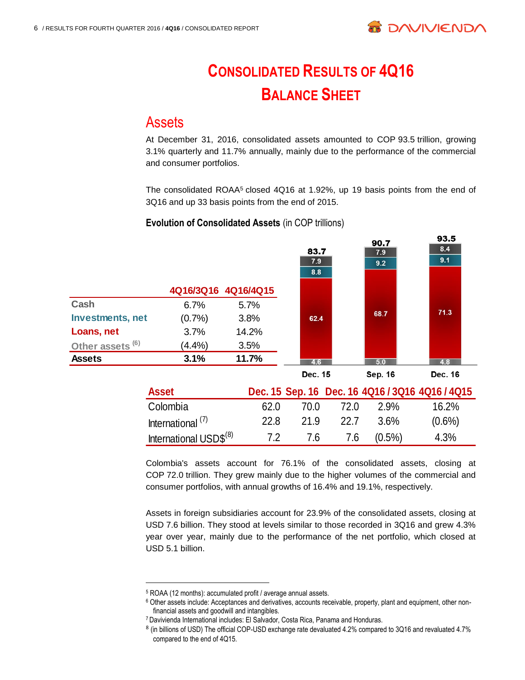

no E

# **CONSOLIDATED RESULTS OF 4Q16 BALANCE SHEET**

#### **Assets**

At December 31, 2016, consolidated assets amounted to COP 93.5 trillion, growing 3.1% quarterly and 11.7% annually, mainly due to the performance of the commercial and consumer portfolios.

The consolidated ROAA<sup>5</sup> closed 4Q16 at 1.92%, up 19 basis points from the end of 3Q16 and up 33 basis points from the end of 2015.

#### **Evolution of Consolidated Assets** (in COP trillions)

|                             |                                    |       |         |      | 90.7      | ວບ.ບ                                            |
|-----------------------------|------------------------------------|-------|---------|------|-----------|-------------------------------------------------|
|                             |                                    |       | 83.7    |      | 7.9       | 8.4                                             |
|                             |                                    |       | 7.9     |      | 9.2       | 9.1                                             |
|                             |                                    |       | 8.8     |      |           |                                                 |
|                             | 4Q16/3Q16 4Q16/4Q15                |       |         |      |           |                                                 |
| Cash                        | 6.7%                               | 5.7%  |         |      |           |                                                 |
| <b>Investments, net</b>     | (0.7%                              | 3.8%  | 62.4    |      | 68.7      | 71.3                                            |
| Loans, net                  | 3.7%                               | 14.2% |         |      |           |                                                 |
| Other assets <sup>(6)</sup> | $(4.4\%)$                          | 3.5%  |         |      |           |                                                 |
| <b>Assets</b>               | 3.1%                               | 11.7% | 4.6     |      | 5.0       | 4.8                                             |
|                             |                                    |       | Dec. 15 |      | Sep. 16   | Dec. 16                                         |
|                             | <b>Asset</b>                       |       |         |      |           | Dec. 15 Sep. 16 Dec. 16 4Q16 / 3Q16 4Q16 / 4Q15 |
|                             | Colombia                           | 62.0  | 70.0    | 72.0 | 2.9%      | 16.2%                                           |
|                             | International $(7)$                | 22.8  | 21.9    | 22.7 | 3.6%      | $(0.6\%)$                                       |
|                             | International USD\$ <sup>(8)</sup> | 7.2   | 7.6     | 7.6  | $(0.5\%)$ | 4.3%                                            |
|                             |                                    |       |         |      |           |                                                 |

Colombia's assets account for 76.1% of the consolidated assets, closing at COP 72.0 trillion. They grew mainly due to the higher volumes of the commercial and consumer portfolios, with annual growths of 16.4% and 19.1%, respectively.

Assets in foreign subsidiaries account for 23.9% of the consolidated assets, closing at USD 7.6 billion. They stood at levels similar to those recorded in 3Q16 and grew 4.3% year over year, mainly due to the performance of the net portfolio, which closed at USD 5.1 billion.

<sup>5</sup> ROAA (12 months): accumulated profit / average annual assets.

<sup>6</sup> Other assets include: Acceptances and derivatives, accounts receivable, property, plant and equipment, other nonfinancial assets and goodwill and intangibles.

<sup>7</sup> Davivienda International includes: El Salvador, Costa Rica, Panama and Honduras.

<sup>&</sup>lt;sup>8</sup> (in billions of USD) The official COP-USD exchange rate devaluated 4.2% compared to 3Q16 and revaluated 4.7% compared to the end of 4Q15.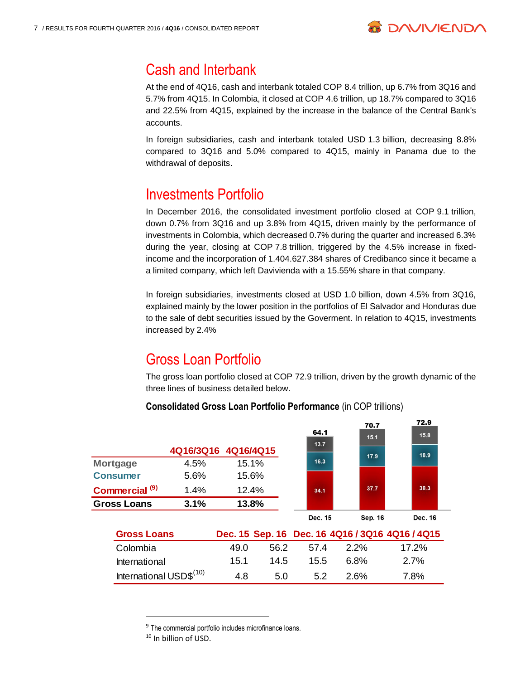

### Cash and Interbank

At the end of 4Q16, cash and interbank totaled COP 8.4 trillion, up 6.7% from 3Q16 and 5.7% from 4Q15. In Colombia, it closed at COP 4.6 trillion, up 18.7% compared to 3Q16 and 22.5% from 4Q15, explained by the increase in the balance of the Central Bank's accounts.

In foreign subsidiaries, cash and interbank totaled USD 1.3 billion, decreasing 8.8% compared to 3Q16 and 5.0% compared to 4Q15, mainly in Panama due to the withdrawal of deposits.

### Investments Portfolio

In December 2016, the consolidated investment portfolio closed at COP 9.1 trillion, down 0.7% from 3Q16 and up 3.8% from 4Q15, driven mainly by the performance of investments in Colombia, which decreased 0.7% during the quarter and increased 6.3% during the year, closing at COP 7.8 trillion, triggered by the 4.5% increase in fixedincome and the incorporation of 1.404.627.384 shares of Credibanco since it became a a limited company, which left Davivienda with a 15.55% share in that company.

In foreign subsidiaries, investments closed at USD 1.0 billion, down 4.5% from 3Q16, explained mainly by the lower position in the portfolios of El Salvador and Honduras due to the sale of debt securities issued by the Goverment. In relation to 4Q15, investments increased by 2.4%

# Gross Loan Portfolio

The gross loan portfolio closed at COP 72.9 trillion, driven by the growth dynamic of the three lines of business detailed below.

|                                     |                     |       |      | 64.1    | 70.7<br>15.1 | 72.9<br>15.8                                    |
|-------------------------------------|---------------------|-------|------|---------|--------------|-------------------------------------------------|
|                                     | 4Q16/3Q16 4Q16/4Q15 |       |      | 13.7    | 17.9         | 18.9                                            |
| <b>Mortgage</b>                     | 4.5%                | 15.1% |      | 16.3    |              |                                                 |
| <b>Consumer</b>                     | 5.6%                | 15.6% |      |         |              |                                                 |
| Commercial <sup>(9)</sup>           | 1.4%                | 12.4% |      | 34.1    | 37.7         | 38.3                                            |
| <b>Gross Loans</b>                  | 3.1%                | 13.8% |      |         |              |                                                 |
|                                     |                     |       |      | Dec. 15 | Sep. 16      | Dec. 16                                         |
| <b>Gross Loans</b>                  |                     |       |      |         |              | Dec. 15 Sep. 16 Dec. 16 4Q16 / 3Q16 4Q16 / 4Q15 |
| Colombia                            |                     | 49.0  | 56.2 | 57.4    | 2.2%         | 17.2%                                           |
| International                       |                     | 15.1  | 14.5 | 15.5    | 6.8%         | 2.7%                                            |
| International USD\$ <sup>(10)</sup> |                     | 4.8   | 5.0  | 5.2     | 2.6%         | 7.8%                                            |

#### **Consolidated Gross Loan Portfolio Performance (in COP trillions)**

<sup>&</sup>lt;sup>9</sup> The commercial portfolio includes microfinance loans.

<sup>&</sup>lt;sup>10</sup> In billion of USD.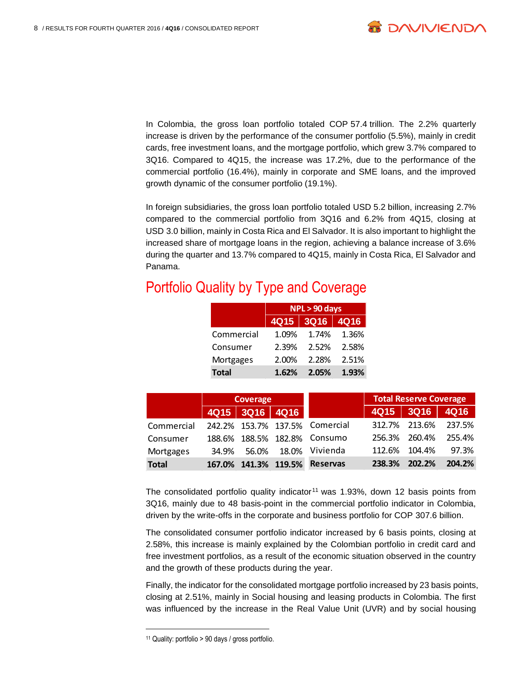

In Colombia, the gross loan portfolio totaled COP 57.4 trillion. The 2.2% quarterly increase is driven by the performance of the consumer portfolio (5.5%), mainly in credit cards, free investment loans, and the mortgage portfolio, which grew 3.7% compared to 3Q16. Compared to 4Q15, the increase was 17.2%, due to the performance of the commercial portfolio (16.4%), mainly in corporate and SME loans, and the improved growth dynamic of the consumer portfolio (19.1%).

In foreign subsidiaries, the gross loan portfolio totaled USD 5.2 billion, increasing 2.7% compared to the commercial portfolio from 3Q16 and 6.2% from 4Q15, closing at USD 3.0 billion, mainly in Costa Rica and El Salvador. It is also important to highlight the increased share of mortgage loans in the region, achieving a balance increase of 3.6% during the quarter and 13.7% compared to 4Q15, mainly in Costa Rica, El Salvador and Panama.

## Portfolio Quality by Type and Coverage

|              | NPL > 90 days |           |             |  |  |
|--------------|---------------|-----------|-------------|--|--|
|              |               | 4Q15 3Q16 | <b>4Q16</b> |  |  |
| Commercial   | 1.09%         | 1.74%     | 1.36%       |  |  |
| Consumer     | 2.39%         | 2.52%     | 2.58%       |  |  |
| Mortgages    | 2.00%         | 2.28%     | 2.51%       |  |  |
| <b>Total</b> | 1.62%         | 2.05%     | 1.93%       |  |  |

|              | Coverage |                |                      | <b>Total Reserve Coverage</b>  |        |               |        |
|--------------|----------|----------------|----------------------|--------------------------------|--------|---------------|--------|
|              |          | 4Q15 3Q16 4Q16 |                      |                                | 4Q15   | 3Q16          | 4Q16   |
| Commercial   |          |                |                      | 242.2% 153.7% 137.5% Comercial | 312.7% | 213.6%        | 237.5% |
| Consumer     |          |                |                      | 188.6% 188.5% 182.8% Consumo   |        | 256.3% 260.4% | 255.4% |
| Mortgages    | 34.9%    | 56.0%          | 18.0%                | Vivienda                       | 112.6% | 104.4%        | 97.3%  |
| <b>Total</b> |          |                | 167.0% 141.3% 119.5% | <b>Reservas</b>                | 238.3% | 202.2%        | 204.2% |

The consolidated portfolio quality indicator<sup>11</sup> was 1.93%, down 12 basis points from 3Q16, mainly due to 48 basis-point in the commercial portfolio indicator in Colombia, driven by the write-offs in the corporate and business portfolio for COP 307.6 billion.

The consolidated consumer portfolio indicator increased by 6 basis points, closing at 2.58%, this increase is mainly explained by the Colombian portfolio in credit card and free investment portfolios, as a result of the economic situation observed in the country and the growth of these products during the year.

Finally, the indicator for the consolidated mortgage portfolio increased by 23 basis points, closing at 2.51%, mainly in Social housing and leasing products in Colombia. The first was influenced by the increase in the Real Value Unit (UVR) and by social housing

 $\overline{a}$ 

<sup>11</sup> Quality: portfolio > 90 days / gross portfolio.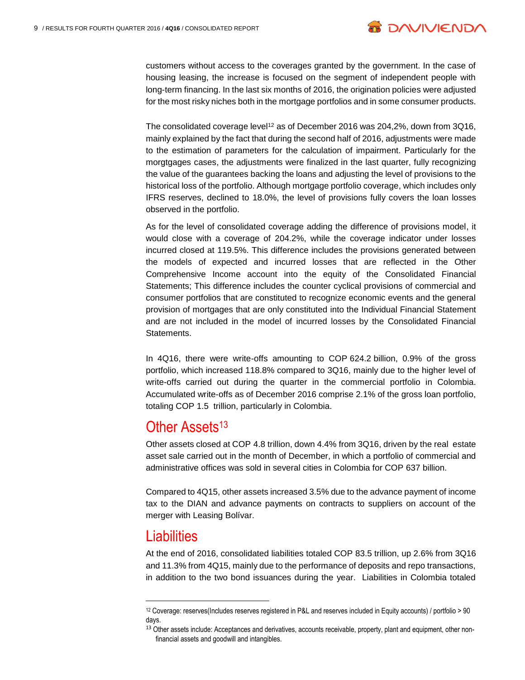

customers without access to the coverages granted by the government. In the case of housing leasing, the increase is focused on the segment of independent people with long-term financing. In the last six months of 2016, the origination policies were adjusted for the most risky niches both in the mortgage portfolios and in some consumer products.

The consolidated coverage level<sup>12</sup> as of December 2016 was 204,2%, down from 3Q16, mainly explained by the fact that during the second half of 2016, adjustments were made to the estimation of parameters for the calculation of impairment. Particularly for the morgtgages cases, the adjustments were finalized in the last quarter, fully recognizing the value of the guarantees backing the loans and adjusting the level of provisions to the historical loss of the portfolio. Although mortgage portfolio coverage, which includes only IFRS reserves, declined to 18.0%, the level of provisions fully covers the loan losses observed in the portfolio.

As for the level of consolidated coverage adding the difference of provisions model, it would close with a coverage of 204.2%, while the coverage indicator under losses incurred closed at 119.5%. This difference includes the provisions generated between the models of expected and incurred losses that are reflected in the Other Comprehensive Income account into the equity of the Consolidated Financial Statements; This difference includes the counter cyclical provisions of commercial and consumer portfolios that are constituted to recognize economic events and the general provision of mortgages that are only constituted into the Individual Financial Statement and are not included in the model of incurred losses by the Consolidated Financial Statements.

In 4Q16, there were write-offs amounting to COP 624.2 billion, 0.9% of the gross portfolio, which increased 118.8% compared to 3Q16, mainly due to the higher level of write-offs carried out during the quarter in the commercial portfolio in Colombia. Accumulated write-offs as of December 2016 comprise 2.1% of the gross loan portfolio, totaling COP 1.5 trillion, particularly in Colombia.

#### Other Assets<sup>13</sup>

Other assets closed at COP 4.8 trillion, down 4.4% from 3Q16, driven by the real estate asset sale carried out in the month of December, in which a portfolio of commercial and administrative offices was sold in several cities in Colombia for COP 637 billion.

Compared to 4Q15, other assets increased 3.5% due to the advance payment of income tax to the DIAN and advance payments on contracts to suppliers on account of the merger with Leasing Bolívar.

#### Liabilities

 $\overline{a}$ 

At the end of 2016, consolidated liabilities totaled COP 83.5 trillion, up 2.6% from 3Q16 and 11.3% from 4Q15, mainly due to the performance of deposits and repo transactions, in addition to the two bond issuances during the year. Liabilities in Colombia totaled

<sup>12</sup> Coverage: reserves(Includes reserves registered in P&L and reserves included in Equity accounts) / portfolio > 90 days.

<sup>&</sup>lt;sup>13</sup> Other assets include: Acceptances and derivatives, accounts receivable, property, plant and equipment, other nonfinancial assets and goodwill and intangibles.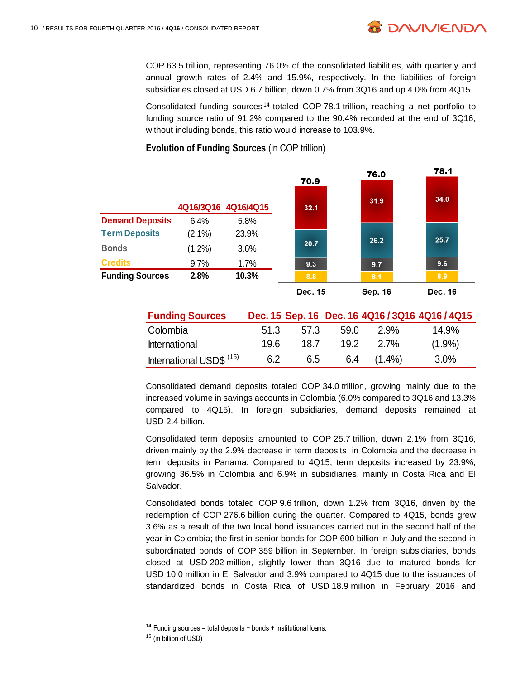COP 63.5 trillion, representing 76.0% of the consolidated liabilities, with quarterly and annual growth rates of 2.4% and 15.9%, respectively. In the liabilities of foreign subsidiaries closed at USD 6.7 billion, down 0.7% from 3Q16 and up 4.0% from 4Q15.

**B DAVIVIEND/** 

Consolidated funding sources <sup>14</sup> totaled COP 78.1 trillion, reaching a net portfolio to funding source ratio of 91.2% compared to the 90.4% recorded at the end of 3Q16; without including bonds, this ratio would increase to 103.9%.



#### **Evolution of Funding Sources** (in COP trillion)

| <b>Funding Sources</b>              |      |      |      |           | Dec. 15 Sep. 16 Dec. 16 4Q16 / 3Q16 4Q16 / 4Q15 |
|-------------------------------------|------|------|------|-----------|-------------------------------------------------|
| Colombia                            | 51.3 | 57.3 | 59.0 | 2.9%      | 14.9%                                           |
| <b>International</b>                | 19.6 | 18.7 | 19.2 | 2.7%      | $(1.9\%)$                                       |
| International USD\$ <sup>(15)</sup> | 6.2  | 6.5  | 6.4  | $(1.4\%)$ | $3.0\%$                                         |

Consolidated demand deposits totaled COP 34.0 trillion, growing mainly due to the increased volume in savings accounts in Colombia (6.0% compared to 3Q16 and 13.3% compared to 4Q15). In foreign subsidiaries, demand deposits remained at USD 2.4 billion.

Consolidated term deposits amounted to COP 25.7 trillion, down 2.1% from 3Q16, driven mainly by the 2.9% decrease in term deposits in Colombia and the decrease in term deposits in Panama. Compared to 4Q15, term deposits increased by 23.9%, growing 36.5% in Colombia and 6.9% in subsidiaries, mainly in Costa Rica and El Salvador.

Consolidated bonds totaled COP 9.6 trillion, down 1.2% from 3Q16, driven by the redemption of COP 276.6 billion during the quarter. Compared to 4Q15, bonds grew 3.6% as a result of the two local bond issuances carried out in the second half of the year in Colombia; the first in senior bonds for COP 600 billion in July and the second in subordinated bonds of COP 359 billion in September. In foreign subsidiaries, bonds closed at USD 202 million, slightly lower than 3Q16 due to matured bonds for USD 10.0 million in El Salvador and 3.9% compared to 4Q15 due to the issuances of standardized bonds in Costa Rica of USD 18.9 million in February 2016 and

<sup>&</sup>lt;sup>14</sup> Funding sources = total deposits + bonds + institutional loans.

<sup>15</sup> (in billion of USD)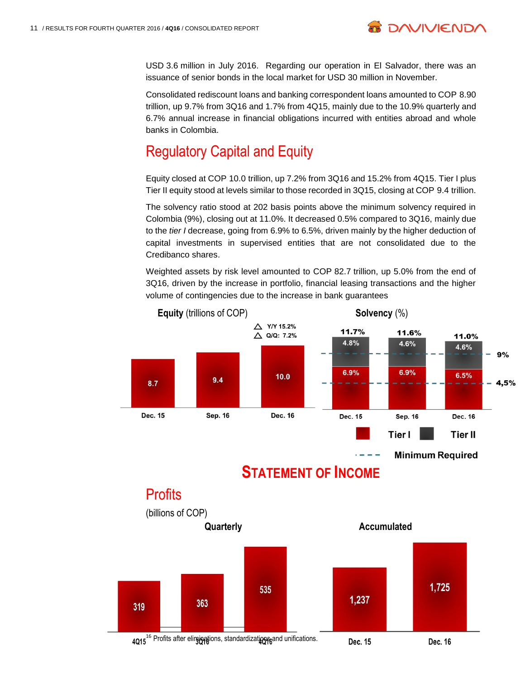USD 3.6 million in July 2016. Regarding our operation in El Salvador, there was an issuance of senior bonds in the local market for USD 30 million in November.

**B DAVIVIENDA** 

Consolidated rediscount loans and banking correspondent loans amounted to COP 8.90 trillion, up 9.7% from 3Q16 and 1.7% from 4Q15, mainly due to the 10.9% quarterly and 6.7% annual increase in financial obligations incurred with entities abroad and whole banks in Colombia.

# Regulatory Capital and Equity

Equity closed at COP 10.0 trillion, up 7.2% from 3Q16 and 15.2% from 4Q15. Tier I plus Tier II equity stood at levels similar to those recorded in 3Q15, closing at COP 9.4 trillion.

The solvency ratio stood at 202 basis points above the minimum solvency required in Colombia (9%), closing out at 11.0%. It decreased 0.5% compared to 3Q16, mainly due to the *tier I* decrease, going from 6.9% to 6.5%, driven mainly by the higher deduction of capital investments in supervised entities that are not consolidated due to the Credibanco shares.

Weighted assets by risk level amounted to COP 82.7 trillion, up 5.0% from the end of 3Q16, driven by the increase in portfolio, financial leasing transactions and the higher volume of contingencies due to the increase in bank guarantees





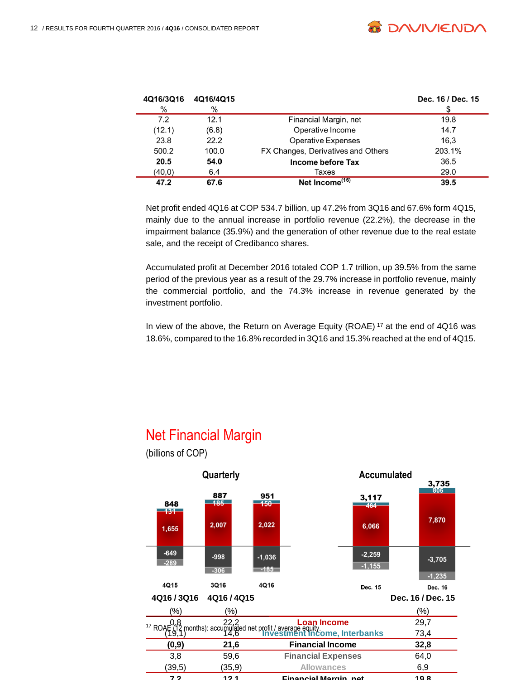

| 4Q16/3Q16 | 4Q16/4Q15 |                                    | Dec. 16 / Dec. 15 |
|-----------|-----------|------------------------------------|-------------------|
| $\%$      | $\%$      |                                    |                   |
| 7.2       | 12.1      | Financial Margin, net              | 19.8              |
| (12.1)    | (6.8)     | Operative Income                   | 14.7              |
| 23.8      | 22.2      | <b>Operative Expenses</b>          | 16.3              |
| 500.2     | 100.0     | FX Changes, Derivatives and Others | 203.1%            |
| 20.5      | 54.0      | Income before Tax                  | 36.5              |
| (40, 0)   | 6.4       | Taxes                              | 29.0              |
| 47.2      | 67.6      | Net Income <sup>(16)</sup>         | 39.5              |

Net profit ended 4Q16 at COP 534.7 billion, up 47.2% from 3Q16 and 67.6% form 4Q15, mainly due to the annual increase in portfolio revenue (22.2%), the decrease in the impairment balance (35.9%) and the generation of other revenue due to the real estate sale, and the receipt of Credibanco shares.

Accumulated profit at December 2016 totaled COP 1.7 trillion, up 39.5% from the same period of the previous year as a result of the 29.7% increase in portfolio revenue, mainly the commercial portfolio, and the 74.3% increase in revenue generated by the investment portfolio.

In view of the above, the Return on Average Equity (ROAE) <sup>17</sup> at the end of 4Q16 was 18.6%, compared to the 16.8% recorded in 3Q16 and 15.3% reached at the end of 4Q15.

# Net Financial Margin



(billions of COP)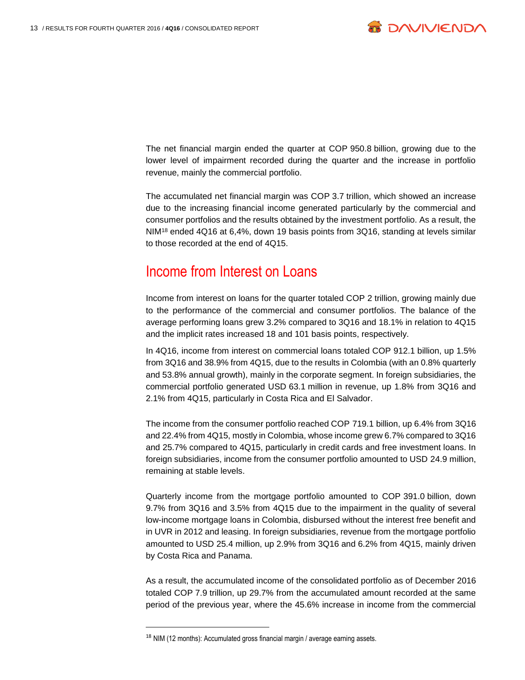

The net financial margin ended the quarter at COP 950.8 billion, growing due to the lower level of impairment recorded during the quarter and the increase in portfolio revenue, mainly the commercial portfolio.

The accumulated net financial margin was COP 3.7 trillion, which showed an increase due to the increasing financial income generated particularly by the commercial and consumer portfolios and the results obtained by the investment portfolio. As a result, the NIM<sup>18</sup> ended 4Q16 at 6,4%, down 19 basis points from 3Q16, standing at levels similar to those recorded at the end of 4Q15.

#### Income from Interest on Loans

Income from interest on loans for the quarter totaled COP 2 trillion, growing mainly due to the performance of the commercial and consumer portfolios. The balance of the average performing loans grew 3.2% compared to 3Q16 and 18.1% in relation to 4Q15 and the implicit rates increased 18 and 101 basis points, respectively.

In 4Q16, income from interest on commercial loans totaled COP 912.1 billion, up 1.5% from 3Q16 and 38.9% from 4Q15, due to the results in Colombia (with an 0.8% quarterly and 53.8% annual growth), mainly in the corporate segment. In foreign subsidiaries, the commercial portfolio generated USD 63.1 million in revenue, up 1.8% from 3Q16 and 2.1% from 4Q15, particularly in Costa Rica and El Salvador.

The income from the consumer portfolio reached COP 719.1 billion, up 6.4% from 3Q16 and 22.4% from 4Q15, mostly in Colombia, whose income grew 6.7% compared to 3Q16 and 25.7% compared to 4Q15, particularly in credit cards and free investment loans. In foreign subsidiaries, income from the consumer portfolio amounted to USD 24.9 million, remaining at stable levels.

Quarterly income from the mortgage portfolio amounted to COP 391.0 billion, down 9.7% from 3Q16 and 3.5% from 4Q15 due to the impairment in the quality of several low-income mortgage loans in Colombia, disbursed without the interest free benefit and in UVR in 2012 and leasing. In foreign subsidiaries, revenue from the mortgage portfolio amounted to USD 25.4 million, up 2.9% from 3Q16 and 6.2% from 4Q15, mainly driven by Costa Rica and Panama.

As a result, the accumulated income of the consolidated portfolio as of December 2016 totaled COP 7.9 trillion, up 29.7% from the accumulated amount recorded at the same period of the previous year, where the 45.6% increase in income from the commercial

<sup>&</sup>lt;sup>18</sup> NIM (12 months): Accumulated gross financial margin / average earning assets.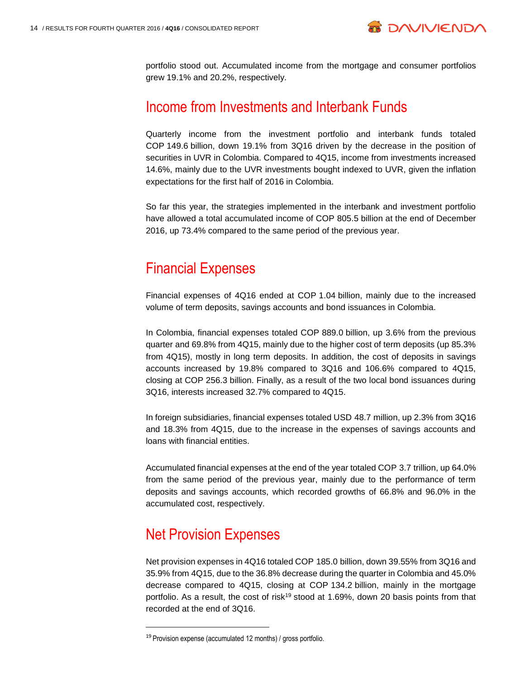

portfolio stood out. Accumulated income from the mortgage and consumer portfolios grew 19.1% and 20.2%, respectively.

### Income from Investments and Interbank Funds

Quarterly income from the investment portfolio and interbank funds totaled COP 149.6 billion, down 19.1% from 3Q16 driven by the decrease in the position of securities in UVR in Colombia. Compared to 4Q15, income from investments increased 14.6%, mainly due to the UVR investments bought indexed to UVR, given the inflation expectations for the first half of 2016 in Colombia.

So far this year, the strategies implemented in the interbank and investment portfolio have allowed a total accumulated income of COP 805.5 billion at the end of December 2016, up 73.4% compared to the same period of the previous year.

#### Financial Expenses

Financial expenses of 4Q16 ended at COP 1.04 billion, mainly due to the increased volume of term deposits, savings accounts and bond issuances in Colombia.

In Colombia, financial expenses totaled COP 889.0 billion, up 3.6% from the previous quarter and 69.8% from 4Q15, mainly due to the higher cost of term deposits (up 85.3% from 4Q15), mostly in long term deposits. In addition, the cost of deposits in savings accounts increased by 19.8% compared to 3Q16 and 106.6% compared to 4Q15, closing at COP 256.3 billion. Finally, as a result of the two local bond issuances during 3Q16, interests increased 32.7% compared to 4Q15.

In foreign subsidiaries, financial expenses totaled USD 48.7 million, up 2.3% from 3Q16 and 18.3% from 4Q15, due to the increase in the expenses of savings accounts and loans with financial entities.

Accumulated financial expenses at the end of the year totaled COP 3.7 trillion, up 64.0% from the same period of the previous year, mainly due to the performance of term deposits and savings accounts, which recorded growths of 66.8% and 96.0% in the accumulated cost, respectively.

# Net Provision Expenses

l

Net provision expenses in 4Q16 totaled COP 185.0 billion, down 39.55% from 3Q16 and 35.9% from 4Q15, due to the 36.8% decrease during the quarter in Colombia and 45.0% decrease compared to 4Q15, closing at COP 134.2 billion, mainly in the mortgage portfolio. As a result, the cost of risk<sup>19</sup> stood at 1.69%, down 20 basis points from that recorded at the end of 3Q16.

<sup>19</sup> Provision expense (accumulated 12 months) / gross portfolio.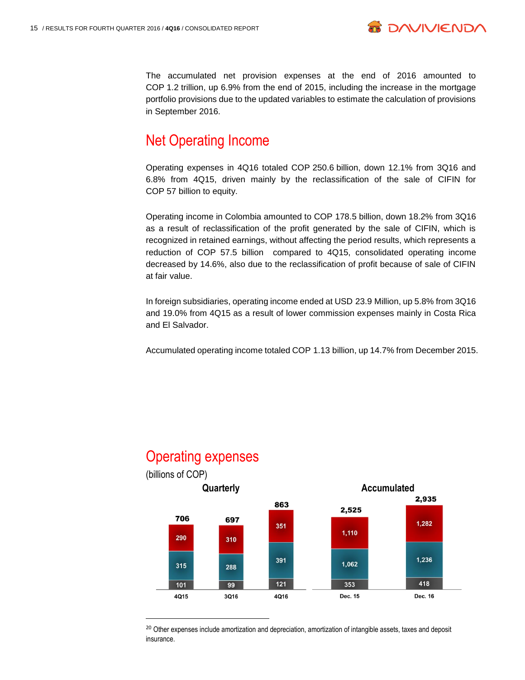

The accumulated net provision expenses at the end of 2016 amounted to COP 1.2 trillion, up 6.9% from the end of 2015, including the increase in the mortgage portfolio provisions due to the updated variables to estimate the calculation of provisions in September 2016.

### Net Operating Income

Operating expenses in 4Q16 totaled COP 250.6 billion, down 12.1% from 3Q16 and 6.8% from 4Q15, driven mainly by the reclassification of the sale of CIFIN for COP 57 billion to equity.

Operating income in Colombia amounted to COP 178.5 billion, down 18.2% from 3Q16 as a result of reclassification of the profit generated by the sale of CIFIN, which is recognized in retained earnings, without affecting the period results, which represents a reduction of COP 57.5 billion compared to 4Q15, consolidated operating income decreased by 14.6%, also due to the reclassification of profit because of sale of CIFIN at fair value.

In foreign subsidiaries, operating income ended at USD 23.9 Million, up 5.8% from 3Q16 and 19.0% from 4Q15 as a result of lower commission expenses mainly in Costa Rica and El Salvador.

Accumulated operating income totaled COP 1.13 billion, up 14.7% from December 2015.



#### Operating expenses

 $\overline{a}$ 

<sup>&</sup>lt;sup>20</sup> Other expenses include amortization and depreciation, amortization of intangible assets, taxes and deposit insurance.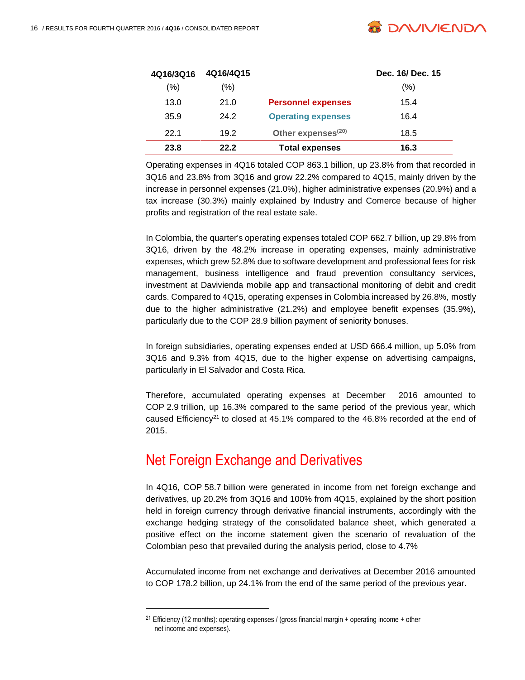

 $\overline{a}$ 

| 4Q16/3Q16 | 4Q16/4Q15 |                                | Dec. 16/ Dec. 15 |
|-----------|-----------|--------------------------------|------------------|
| (%)       | (%)       |                                | $(\% )$          |
| 13.0      | 21.0      | <b>Personnel expenses</b>      | 15.4             |
| 35.9      | 24.2      | <b>Operating expenses</b>      | 16.4             |
| 22.1      | 19.2      | Other expenses <sup>(20)</sup> | 18.5             |
| 23.8      | 22.2      | <b>Total expenses</b>          | 16.3             |

Operating expenses in 4Q16 totaled COP 863.1 billion, up 23.8% from that recorded in 3Q16 and 23.8% from 3Q16 and grow 22.2% compared to 4Q15, mainly driven by the increase in personnel expenses (21.0%), higher administrative expenses (20.9%) and a tax increase (30.3%) mainly explained by Industry and Comerce because of higher profits and registration of the real estate sale.

In Colombia, the quarter's operating expenses totaled COP 662.7 billion, up 29.8% from 3Q16, driven by the 48.2% increase in operating expenses, mainly administrative expenses, which grew 52.8% due to software development and professional fees for risk management, business intelligence and fraud prevention consultancy services, investment at Davivienda mobile app and transactional monitoring of debit and credit cards. Compared to 4Q15, operating expenses in Colombia increased by 26.8%, mostly due to the higher administrative (21.2%) and employee benefit expenses (35.9%), particularly due to the COP 28.9 billion payment of seniority bonuses.

In foreign subsidiaries, operating expenses ended at USD 666.4 million, up 5.0% from 3Q16 and 9.3% from 4Q15, due to the higher expense on advertising campaigns, particularly in El Salvador and Costa Rica.

Therefore, accumulated operating expenses at December 2016 amounted to COP 2.9 trillion, up 16.3% compared to the same period of the previous year, which caused Efficiency<sup>21</sup> to closed at  $45.1\%$  compared to the  $46.8\%$  recorded at the end of 2015.

# Net Foreign Exchange and Derivatives

In 4Q16, COP 58.7 billion were generated in income from net foreign exchange and derivatives, up 20.2% from 3Q16 and 100% from 4Q15, explained by the short position held in foreign currency through derivative financial instruments, accordingly with the exchange hedging strategy of the consolidated balance sheet, which generated a positive effect on the income statement given the scenario of revaluation of the Colombian peso that prevailed during the analysis period, close to 4.7%

Accumulated income from net exchange and derivatives at December 2016 amounted to COP 178.2 billion, up 24.1% from the end of the same period of the previous year.

<sup>&</sup>lt;sup>21</sup> Efficiency (12 months): operating expenses / (gross financial margin + operating income + other net income and expenses).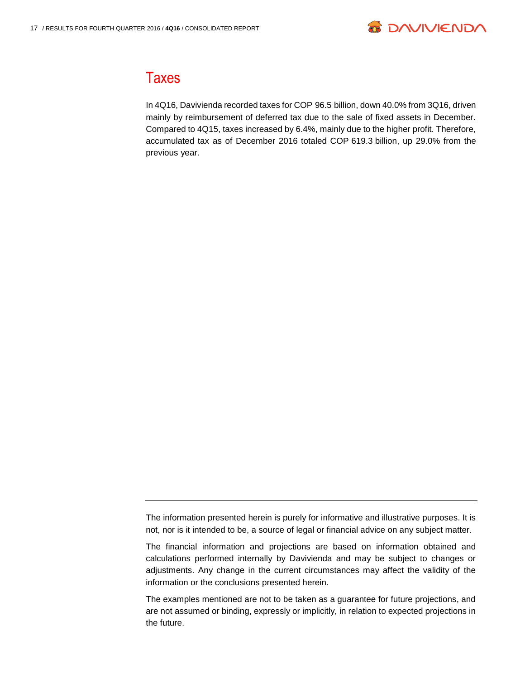

#### **Taxes**

In 4Q16, Davivienda recorded taxes for COP 96.5 billion, down 40.0% from 3Q16, driven mainly by reimbursement of deferred tax due to the sale of fixed assets in December. Compared to 4Q15, taxes increased by 6.4%, mainly due to the higher profit. Therefore, accumulated tax as of December 2016 totaled COP 619.3 billion, up 29.0% from the previous year.

The information presented herein is purely for informative and illustrative purposes. It is not, nor is it intended to be, a source of legal or financial advice on any subject matter.

The financial information and projections are based on information obtained and calculations performed internally by Davivienda and may be subject to changes or adjustments. Any change in the current circumstances may affect the validity of the information or the conclusions presented herein.

The examples mentioned are not to be taken as a guarantee for future projections, and are not assumed or binding, expressly or implicitly, in relation to expected projections in the future.